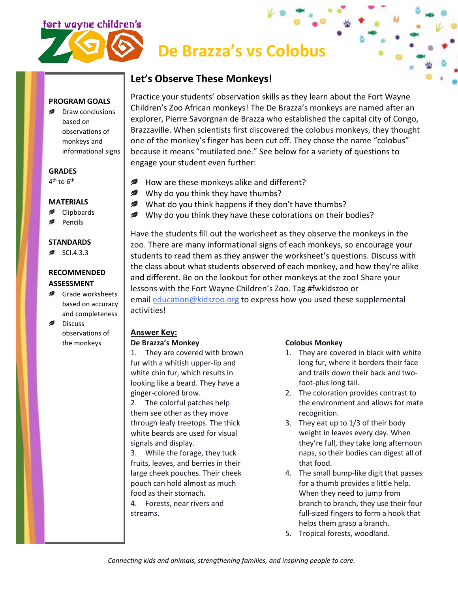

# **De Brazza's vs Colobus**

# **Let's Observe These Monkeys!**

**PROGRAM GOALS**

Draw conclusions based on observations of monkeys and informational signs

### **GRADES**

4<sup>th</sup> to 6<sup>th</sup>

### **MATERIALS**

- **■** Clipboards
- Pencils

# **STANDARDS**

 $\approx$  SCI.4.3.3

#### **RECOMMENDED ASSESSMENT**

- Grade worksheets based on accuracy and completeness
- Discuss observations of the monkeys

Practice your students' observation skills as they learn about the Fort Wayne Children's Zoo African monkeys! The De Brazza's monkeys are named after an explorer, Pierre Savorgnan de Brazza who established the capital city of Congo, Brazzaville. When scientists first discovered the colobus monkeys, they thought one of the monkey's finger has been cut off. They chose the name "colobus" because it means "mutilated one." See below for a variety of questions to engage your student even further:

- $\mathcal{L}$ How are these monkeys alike and different?
- $\blacktriangleright$  Why do you think they have thumbs?
- What do you think happens if they don't have thumbs?
- Why do you think they have these colorations on their bodies?

Have the students fill out the worksheet as they observe the monkeys in the zoo. There are many informational signs of each monkeys, so encourage your students to read them as they answer the worksheet's questions. Discuss with the class about what students observed of each monkey, and how they're alike and different. Be on the lookout for other monkeys at the zoo! Share your lessons with the Fort Wayne Children's Zoo. Tag #fwkidszoo or email [education@kidszoo.org](mailto:education@kidszoo.org) to express how you used these supplemental activities!

# **Answer Key:**

#### **De Brazza's Monkey**

1. They are covered with brown fur with a whitish upper-lip and white chin fur, which results in looking like a beard. They have a ginger-colored brow.

2. The colorful patches help them see other as they move through leafy treetops. The thick white beards are used for visual signals and display.

3. While the forage, they tuck fruits, leaves, and berries in their large cheek pouches. Their cheek pouch can hold almost as much food as their stomach.

4. Forests, near rivers and streams.

# **Colobus Monkey**

- 1. They are covered in black with white long fur, where it borders their face and trails down their back and twofoot-plus long tail.
- 2. The coloration provides contrast to the environment and allows for mate recognition.
- 3. They eat up to 1/3 of their body weight in leaves every day. When they're full, they take long afternoon naps, so their bodies can digest all of that food.
- 4. The small bump-like digit that passes for a thumb provides a little help. When they need to jump from branch to branch, they use their four full-sized fingers to form a hook that helps them grasp a branch.
- 5. Tropical forests, woodland.